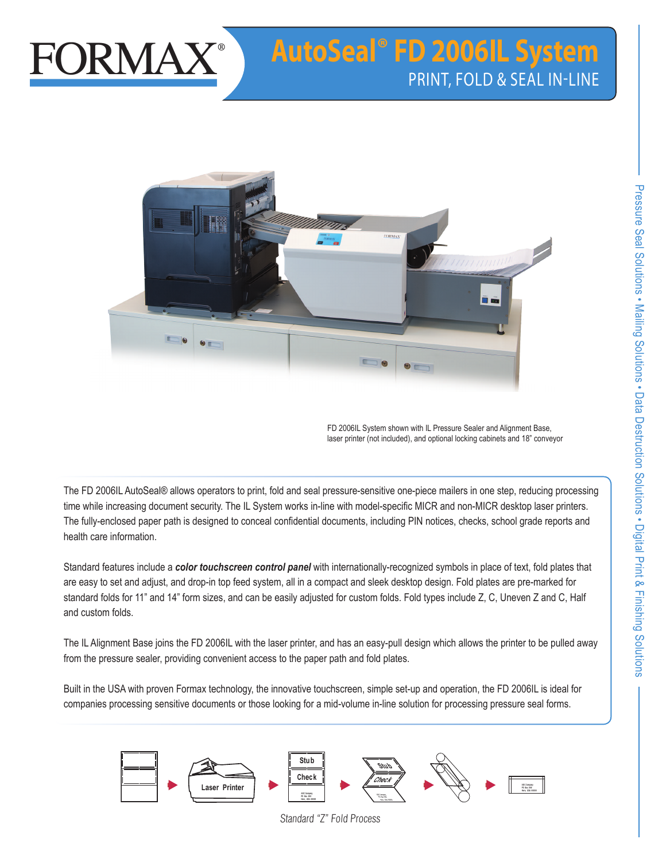

# **AutoSeal® FD 2006IL System** PRINT, FOLD & SEAL IN-LINE



FD 2006IL System shown with IL Pressure Sealer and Alignment Base, laser printer (not included), and optional locking cabinets and 18" conveyor

The FD 2006IL AutoSeal® allows operators to print, fold and seal pressure-sensitive one-piece mailers in one step, reducing processing time while increasing document security. The IL System works in-line with model-specific MICR and non-MICR desktop laser printers. The fully-enclosed paper path is designed to conceal confidential documents, including PIN notices, checks, school grade reports and health care information.

Standard features include a *color touchscreen control panel* with internationally-recognized symbols in place of text, fold plates that are easy to set and adjust, and drop-in top feed system, all in a compact and sleek desktop design. Fold plates are pre-marked for standard folds for 11" and 14" form sizes, and can be easily adjusted for custom folds. Fold types include Z, C, Uneven Z and C, Half and custom folds.

The IL Alignment Base joins the FD 2006IL with the laser printer, and has an easy-pull design which allows the printer to be pulled away from the pressure sealer, providing convenient access to the paper path and fold plates.

Built in the USA with proven Formax technology, the innovative touchscreen, simple set-up and operation, the FD 2006IL is ideal for companies processing sensitive documents or those looking for a mid-volume in-line solution for processing pressure seal forms.



Standard "Z" Fold Process

**PO Box 000 Here, USA 00000**